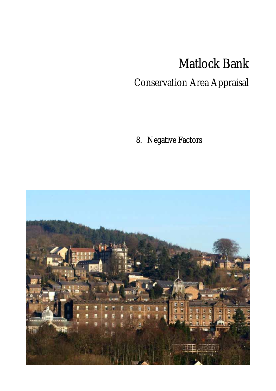# Matlock Bank

# Conservation Area Appraisal

8. Negative Factors

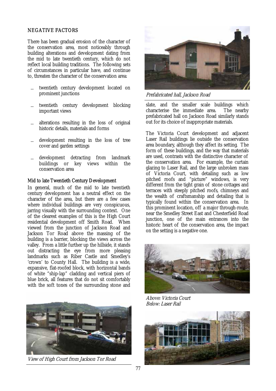## NEGATIVE FACTORS

There has been gradual erosion of the character of the conservation area, most noticeably through building alterations and development dating from the mid to late twentieth century, which do not reflect local building traditions. The following sets of circumstances in particular have, and continue to, threaten the character of the conservation area:

- twentieth century development located on prominent junctions
- twentieth century development blocking important views
- alterations resulting in the loss of original historic details, materials and forms
- development resulting in the loss of tree cover and garden settings
- development detracting from landmark buildings or key views within the conservation area

#### Mid to late Twentieth Century Development

In general, much of the mid to late twentieth century development has a neutral effect on the character of the area, but there are a few cases where individual buildings are very conspicuous, jarring visually with the surrounding context. One of the clearest examples of this is the High Court residential development off Smith Road. When viewed from the junction of Jackson Road and Jackson Tor Road above the massing of the building is a barrier, blocking the views across the valley. From a little further up the hillside, it stands out distracting the eye from more pleasing landmarks such as Riber Castle and Smedley's 'crown' to County Hall. The building is a wide, expansive, flat-roofed block, with horizontal bands of white "ship-lap" cladding and vertical piers of blue brick, all features that do not sit comfortably with the soft tones of the surrounding stone and



View of High Court from Jackson Tor Road



Prefabricated hall, Jackson Road

slate, and the smaller scale buildings which characterise the immediate area. The nearby prefabricated hall on Jackson Road similarly stands out for its choice of inappropriate materials.

The Victoria Court development and adjacent Laser Rail buildings lie outside the conservation area boundary, although they affect its setting. The form of these buildings, and the way that materials are used, contrasts with the distinctive character of the conservation area. For example, the curtain glazing to Laser Rail, and the large unbroken mass of Victoria Court, with detailing such as low pitched roofs and "picture" windows, is very different from the tight grain of stone cottages and terraces with steeply pitched roofs, chimneys and the wealth of craftsmanship and detailing that is typically found within the conservation area. In this prominent location, off a major through-route, near the Smedley Street East and Chesterfield Road junction, one of the main entrances into the historic heart of the conservation area, the impact on the setting is a negative one.



Above: Victoria Court Below: Laser Rail

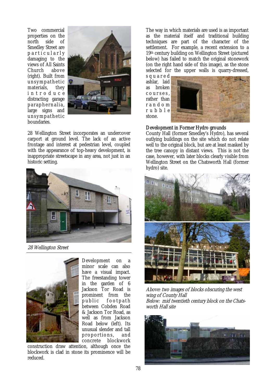Two commercial properties on the north side of Smedley Street are p a r t i c u l a r l y damaging to the views of All Saints Church above (right). Built from unsy mpat h eti c materials, they i n t r o d u c e distracting garage paraphernalia, large signs and unsympathetic boundaries.



28 Wellington Street incorporates an undercover carport at ground level. The lack of an active frontage and interest at pedestrian level, coupled with the appearance of top-heavy development, is inappropriate streetscape in any area, not just in an historic setting.



28 Wellington Street



Development on a minor scale can also have a visual impact. The freestanding tower in the garden of 6 Jackson Tor Road is prominent from the public footpath between Cobden Road & Jackson Tor Road, as well as from Jackson Road below (left). Its unusual slender and tall proportions, and concrete blockwork

construction draw attention, although once the blockwork is clad in stone its prominence will be reduced.

The way in which materials are used is as important as the material itself and traditional building techniques are part of the character of the settlement. For example, a recent extension to a 19th century building on Wellington Street (pictured below) has failed to match the original stonework (on the right hand side of this image), as the stone selected for the upper walls is quarry-dressed,

s q u a r e d ashlar, laid as broken c o u r s e s , rather than r a n d o m r u b b l e stone.



#### Development in Former Hydro grounds

County Hall (former Smedley's Hydro), has several outlying buildings on the site which do not relate well to the original block, but are at least masked by the tree canopy in distant views. This is not the case, however, with later blocks clearly visible from Wellington Street on the Chatsworth Hall (former hydro) site.



Above: two images of blocks obscuring the west wing of County Hall Below: mid twentieth century block on the Chatsworth Hall site

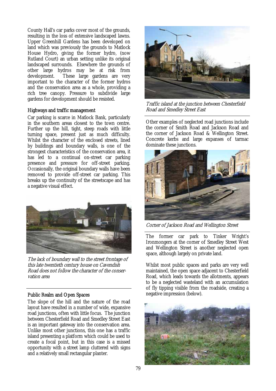County Hall's car parks cover most of the grounds, resulting in the loss of extensive landscaped lawns. Upper Greenhill Gardens has been developed on land which was previously the grounds to Matlock House Hydro, giving the former hydro, (now Rutland Court) an urban setting unlike its original landscaped surrounds. Elsewhere the grounds of other large hydros may be at risk from development. These large gardens are very important to the character of the former hydros and the conservation area as a whole, providing a rich tree canopy. Pressure to subdivide large gardens for development should be resisted.

#### Highways and traffic management

Car parking is scarce in Matlock Bank, particularly in the southern areas closest to the town centre. Further up the hill, tight, steep roads with little turning space, present just as much difficulty. Whilst the character of the enclosed streets, lined by buildings and boundary walls, is one of the strongest characteristics of the conservation area, it has led to a continual on-street car parking presence and pressure for off-street parking. Occasionally, the original boundary walls have been removed to provide off-street car parking. This breaks up the continuity of the streetscape and has a negative visual effect.



The lack of boundary wall to the street frontage of this late twentieth century house on Cavendish Road does not follow the character of the conservation area

#### Public Realm and Open Spaces

The slope of the hill and the nature of the road layout have resulted in a number of wide, expansive road junctions, often with little focus. The junction between Chesterfield Road and Smedley Street East is an important gateway into the conservation area. Unlike most other junctions, this one has a traffic island presenting a platform which could be used to create a focal point, but in this case is a missed opportunity with a street lamp cluttered with signs and a relatively small rectangular planter.



Traffic island at the junction between Chesterfield Road and Smedley Street East

Other examples of neglected road junctions include the corner of Smith Road and Jackson Road and the corner of Jackson Road & Wellington Street. Concrete kerbs and large expanses of tarmac dominate these junctions.



Corner of Jackson Road and Wellington Street

The former car park to Tinker Wright's Ironmongers at the corner of Smedley Street West and Wellington Street is another neglected open space, although largely on private land.

Whilst most public spaces and parks are very well maintained, the open space adjacent to Chesterfield Road, which leads towards the allotments, appears to be a neglected wasteland with an accumulation of fly tipping visible from the roadside, creating a negative impression (below).

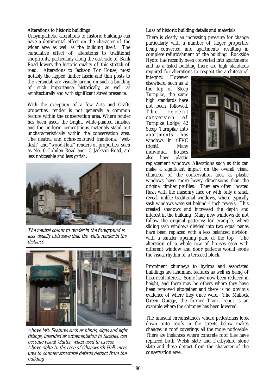# Alterations to historic buildings

Unsympathetic alterations to historic buildings can have a detrimental effect on the character of the wider area as well as the building itself. The cumulative effect of alterations to traditional shopfronts, particularly along the east side of Bank Road lowers the historic quality of this stretch of road. Alterations to Jackson Tor House, most notably the lapped timber fascia and thin posts to the verandah are visually jarring on such a building of such importance historically, as well as architecturally and with significant street presence.

With the exception of a few Arts and Crafts properties, render is not generally a common feature within the conservation area. Where render has been used, the bright, white-painted finishes and the uniform cementitious materials stand out uncharacteristically within the conservation area. The neutral and ochre-coloured traditional "wetdash" and "wood-float" renders of properties, such as No. 6 Cobden Road and 15 Jackson Road, are less noticeable and less garish.



The neutral colour to render in the foreground is less visually obtrusive than the white render in the distance



Above left: Features such as blinds, signs and light fittings, intended as ornamentation to facades, can become visual 'clutter' when used to excess. Above right: In the case of Chatsworth Hall, measures to counter structural defects detract from the building

## Loss of historic building details and materials

There is clearly an increasing pressure for change particularly with a number of larger properties being converted into apartments, resulting in complete refurbishment of the building. Rockside Hydro has recently been converted into apartments, and as a listed building there are high standards required for alterations to respect the architectural

integrity. However elsewhere, such as at the top of Steep Turnpike, the same high standards have not been followed.<br>The recent r e c e n t conversion of Turnpike Lodge, 42 Steep Turnpike into apartments has windows in uPVC (right). Many individual houses also have plastic



replacement windows. Alterations such as this can make a significant impact on the overall visual character of the conservation area, as plastic windows have more heavy dimensions than the original timber profiles. They are often located flush with the masonry face or with only a small reveal, unlike traditional windows, where typically sash windows were set behind 4 inch reveals. This created shadows and increased the depth and interest in the building. Many new windows do not follow the original patterns; for example, where sliding sash windows divided into two equal panes have been replaced with a less balanced division, with a smaller opening pane at the top. The alteration of a whole row of houses each with different window and door patterns would erode the visual rhythm of a terraced block.

Prominent chimneys to hydros and associated buildings are landmark features as well as being of historical interest. Some have now been reduced in height, and there may be others where they have been removed altogether and there is no obvious evidence of where they once were. The Matlock Green Garage, the former Tram Depot is an example where the chimney has been lowered.

The unusual circumstances where pedestrians look down onto roofs in the streets below makes changes in roof coverings all the more noticeable. There are instances where concrete roof tiles have replaced both Welsh slate and Derbyshire stone slate and these detract from the character of the conservation area.